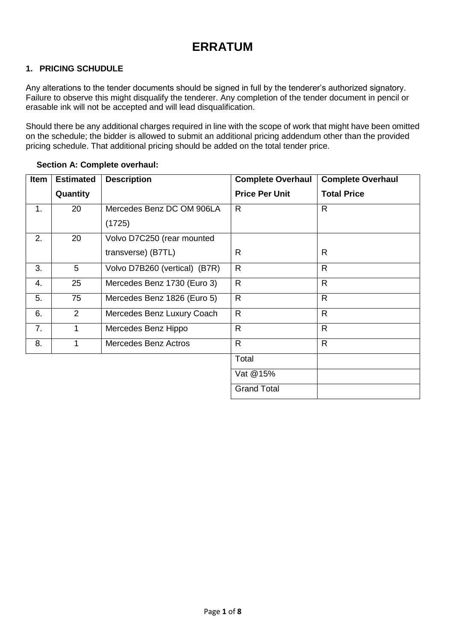# **ERRATUM**

#### **1. PRICING SCHUDULE**

Any alterations to the tender documents should be signed in full by the tenderer's authorized signatory. Failure to observe this might disqualify the tenderer. Any completion of the tender document in pencil or erasable ink will not be accepted and will lead disqualification.

Should there be any additional charges required in line with the scope of work that might have been omitted on the schedule; the bidder is allowed to submit an additional pricing addendum other than the provided pricing schedule. That additional pricing should be added on the total tender price.

| Item | <b>Estimated</b> | <b>Description</b>            | <b>Complete Overhaul</b> | <b>Complete Overhaul</b> |
|------|------------------|-------------------------------|--------------------------|--------------------------|
|      | Quantity         |                               | <b>Price Per Unit</b>    | <b>Total Price</b>       |
| 1.   | 20               | Mercedes Benz DC OM 906LA     | R.                       | $\mathsf{R}$             |
|      |                  | (1725)                        |                          |                          |
| 2.   | 20               | Volvo D7C250 (rear mounted    |                          |                          |
|      |                  | transverse) (B7TL)            | R.                       | R                        |
| 3.   | 5                | Volvo D7B260 (vertical) (B7R) | $\mathsf{R}$             | $\mathsf{R}$             |
| 4.   | 25               | Mercedes Benz 1730 (Euro 3)   | $\mathsf{R}$             | $\mathsf{R}$             |
| 5.   | 75               | Mercedes Benz 1826 (Euro 5)   | R                        | $\mathsf{R}$             |
| 6.   | 2                | Mercedes Benz Luxury Coach    | $\mathsf{R}$             | $\mathsf{R}$             |
| 7.   | 1                | Mercedes Benz Hippo           | $\mathsf{R}$             | $\mathsf{R}$             |
| 8.   | 1                | <b>Mercedes Benz Actros</b>   | R.                       | $\mathsf{R}$             |
|      |                  |                               | Total                    |                          |
|      |                  |                               | Vat @15%                 |                          |
|      |                  |                               | <b>Grand Total</b>       |                          |

#### **Section A: Complete overhaul:**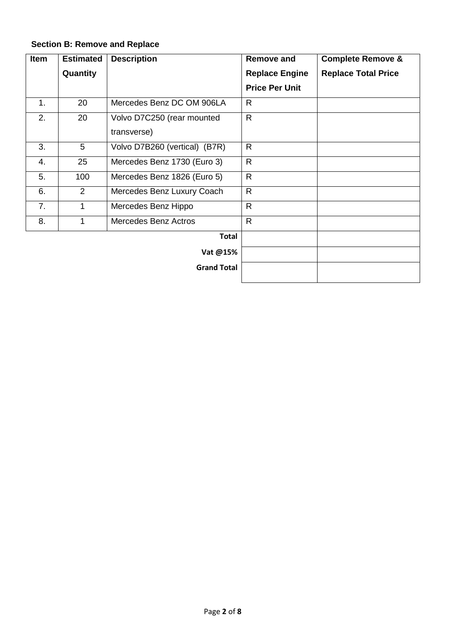### **Section B: Remove and Replace**

| <b>Item</b> | <b>Estimated</b> | <b>Description</b>            | Remove and            | <b>Complete Remove &amp;</b> |
|-------------|------------------|-------------------------------|-----------------------|------------------------------|
|             | Quantity         |                               | <b>Replace Engine</b> | <b>Replace Total Price</b>   |
|             |                  |                               | <b>Price Per Unit</b> |                              |
| 1.          | 20               | Mercedes Benz DC OM 906LA     | R.                    |                              |
| 2.          | 20               | Volvo D7C250 (rear mounted    | $\mathsf{R}$          |                              |
|             |                  | transverse)                   |                       |                              |
| 3.          | 5                | Volvo D7B260 (vertical) (B7R) | R                     |                              |
| 4.          | 25               | Mercedes Benz 1730 (Euro 3)   | $\mathsf{R}$          |                              |
| 5.          | 100              | Mercedes Benz 1826 (Euro 5)   | $\mathsf{R}$          |                              |
| 6.          | 2                | Mercedes Benz Luxury Coach    | $\mathsf{R}$          |                              |
| 7.          | 1                | Mercedes Benz Hippo           | $\mathsf{R}$          |                              |
| 8.          |                  | <b>Mercedes Benz Actros</b>   | $\mathsf{R}$          |                              |
|             |                  | <b>Total</b>                  |                       |                              |
|             |                  | Vat @15%                      |                       |                              |
|             |                  | <b>Grand Total</b>            |                       |                              |
|             |                  |                               |                       |                              |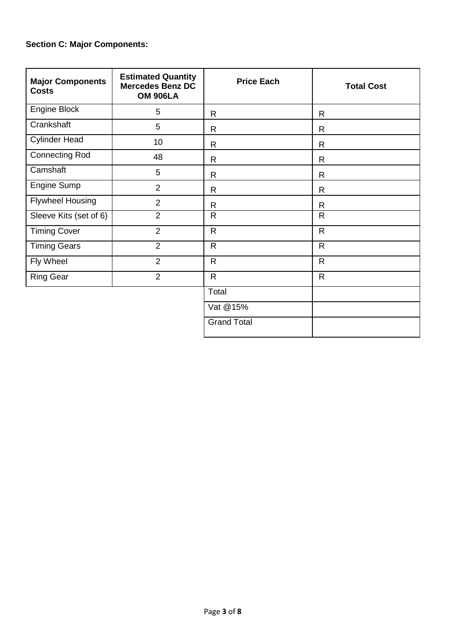#### **Section C: Major Components:**

| <b>Major Components</b><br><b>Costs</b> | <b>Estimated Quantity</b><br><b>Mercedes Benz DC</b><br><b>OM 906LA</b> | <b>Price Each</b>  | <b>Total Cost</b> |
|-----------------------------------------|-------------------------------------------------------------------------|--------------------|-------------------|
| Engine Block                            | 5                                                                       | $\mathsf{R}$       | R                 |
| Crankshaft                              | 5                                                                       | $\mathsf{R}$       | R                 |
| <b>Cylinder Head</b>                    | 10                                                                      | R                  | R                 |
| <b>Connecting Rod</b>                   | 48                                                                      | R                  | R                 |
| Camshaft                                | 5                                                                       | R                  | R                 |
| Engine Sump                             | $\overline{2}$                                                          | R.                 | R                 |
| <b>Flywheel Housing</b>                 | $\overline{2}$                                                          | R                  | R                 |
| Sleeve Kits (set of 6)                  | $\overline{2}$                                                          | $\mathsf{R}$       | R                 |
| <b>Timing Cover</b>                     | 2                                                                       | $\mathsf{R}$       | $\mathsf{R}$      |
| <b>Timing Gears</b>                     | $\overline{2}$                                                          | $\mathsf{R}$       | $\mathsf{R}$      |
| Fly Wheel                               | $\overline{2}$                                                          | $\mathsf{R}$       | $\mathsf{R}$      |
| <b>Ring Gear</b>                        | 2                                                                       | $\mathsf{R}$       | $\mathsf{R}$      |
|                                         |                                                                         | Total              |                   |
|                                         |                                                                         | Vat @15%           |                   |
|                                         |                                                                         | <b>Grand Total</b> |                   |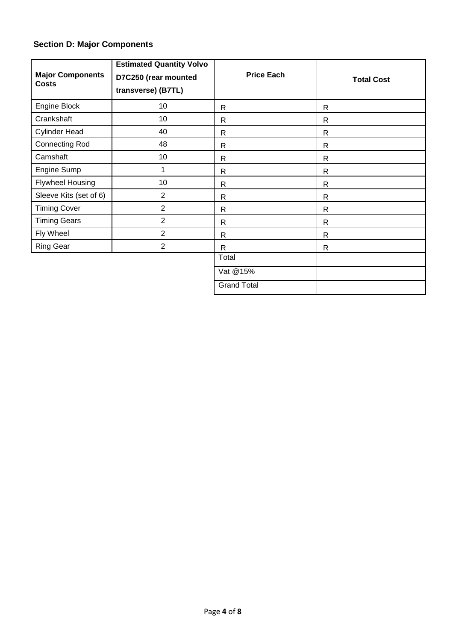#### **Section D: Major Components**

| <b>Major Components</b><br><b>Costs</b> | <b>Estimated Quantity Volvo</b><br>D7C250 (rear mounted<br>transverse) (B7TL) | <b>Price Each</b>  | <b>Total Cost</b> |
|-----------------------------------------|-------------------------------------------------------------------------------|--------------------|-------------------|
| Engine Block                            | 10                                                                            | $\mathsf{R}$       | $\mathsf{R}$      |
| Crankshaft                              | 10                                                                            | $\mathsf{R}$       | $\mathsf{R}$      |
| <b>Cylinder Head</b>                    | 40                                                                            | $\mathsf{R}$       | $\mathsf{R}$      |
| <b>Connecting Rod</b>                   | 48                                                                            | $\mathsf{R}$       | $\mathsf{R}$      |
| Camshaft                                | 10                                                                            | $\mathsf{R}$       | $\mathsf{R}$      |
| Engine Sump                             |                                                                               | $\mathsf{R}$       | $\mathsf{R}$      |
| <b>Flywheel Housing</b>                 | 10                                                                            | $\mathsf{R}$       | $\mathsf{R}$      |
| Sleeve Kits (set of 6)                  | $\overline{2}$                                                                | $\mathsf{R}$       | $\mathsf{R}$      |
| <b>Timing Cover</b>                     | $\overline{2}$                                                                | $\mathsf{R}$       | $\mathsf{R}$      |
| <b>Timing Gears</b>                     | $\overline{2}$                                                                | $\mathsf{R}$       | $\mathsf{R}$      |
| Fly Wheel                               | $\overline{2}$                                                                | $\mathsf{R}$       | $\mathsf{R}$      |
| Ring Gear                               | $\overline{2}$                                                                | $\mathsf{R}$       | $\mathsf{R}$      |
|                                         |                                                                               | Total              |                   |
|                                         |                                                                               | Vat @15%           |                   |
|                                         |                                                                               | <b>Grand Total</b> |                   |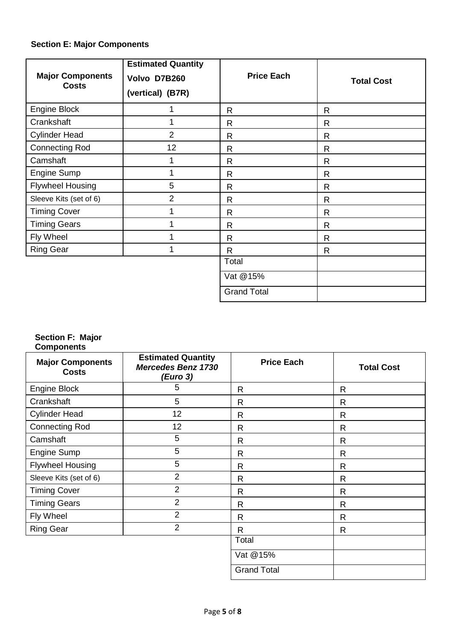### **Section E: Major Components**

| <b>Major Components</b><br><b>Costs</b> | <b>Estimated Quantity</b><br>Volvo D7B260<br>(vertical) (B7R) | <b>Price Each</b>  | <b>Total Cost</b> |
|-----------------------------------------|---------------------------------------------------------------|--------------------|-------------------|
| Engine Block                            |                                                               | $\mathsf{R}$       | $\mathsf{R}$      |
| Crankshaft                              |                                                               | $\mathsf{R}$       | $\mathsf{R}$      |
| <b>Cylinder Head</b>                    | $\overline{2}$                                                | $\mathsf{R}$       | $\mathsf{R}$      |
| <b>Connecting Rod</b>                   | 12                                                            | $\mathsf{R}$       | $\mathsf{R}$      |
| Camshaft                                |                                                               | $\mathsf{R}$       | $\mathsf{R}$      |
| Engine Sump                             |                                                               | $\mathsf{R}$       | $\mathsf{R}$      |
| <b>Flywheel Housing</b>                 | 5                                                             | $\mathsf{R}$       | $\mathsf{R}$      |
| Sleeve Kits (set of 6)                  | 2                                                             | $\mathsf{R}$       | R                 |
| <b>Timing Cover</b>                     |                                                               | $\mathsf{R}$       | $\mathsf{R}$      |
| <b>Timing Gears</b>                     |                                                               | R                  | R                 |
| Fly Wheel                               |                                                               | $\mathsf{R}$       | $\mathsf{R}$      |
| <b>Ring Gear</b>                        |                                                               | $\mathsf{R}$       | $\mathsf{R}$      |
|                                         |                                                               | Total              |                   |
|                                         |                                                               | Vat @15%           |                   |
|                                         |                                                               | <b>Grand Total</b> |                   |

#### **Section F: Major Components**

| <b>Major Components</b><br><b>Costs</b> | <b>Estimated Quantity</b><br><b>Mercedes Benz 1730</b><br>(Euro 3) | <b>Price Each</b>  | <b>Total Cost</b> |
|-----------------------------------------|--------------------------------------------------------------------|--------------------|-------------------|
| <b>Engine Block</b>                     | 5                                                                  | R                  | R                 |
| Crankshaft                              | 5                                                                  | R                  | R                 |
| <b>Cylinder Head</b>                    | 12                                                                 | R                  | $\mathsf{R}$      |
| <b>Connecting Rod</b>                   | 12                                                                 | R                  | $\mathsf{R}$      |
| Camshaft                                | 5                                                                  | R                  | $\mathsf{R}$      |
| <b>Engine Sump</b>                      | 5                                                                  | R                  | $\mathsf{R}$      |
| <b>Flywheel Housing</b>                 | 5                                                                  | R                  | R                 |
| Sleeve Kits (set of 6)                  | $\overline{2}$                                                     | R                  | R                 |
| <b>Timing Cover</b>                     | $\overline{2}$                                                     | $\mathsf{R}$       | $\mathsf{R}$      |
| <b>Timing Gears</b>                     | $\overline{2}$                                                     | R                  | $\mathsf{R}$      |
| Fly Wheel                               | $\overline{2}$                                                     | R                  | $\mathsf{R}$      |
| <b>Ring Gear</b>                        | $\overline{2}$                                                     | R.                 | R                 |
|                                         |                                                                    | Total              |                   |
|                                         |                                                                    | Vat @15%           |                   |
|                                         |                                                                    | <b>Grand Total</b> |                   |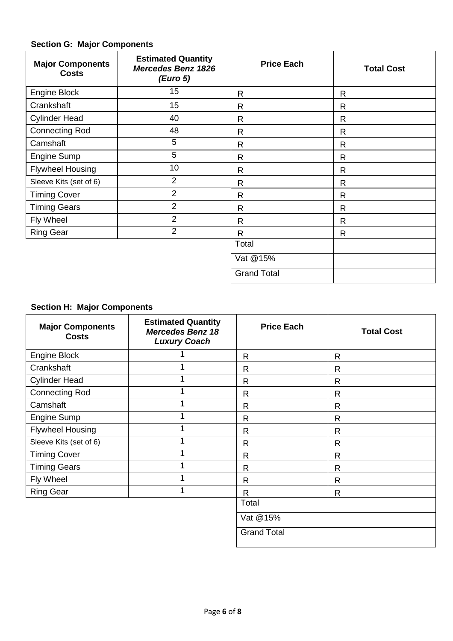## **Section G: Major Components**

| <b>Major Components</b><br><b>Costs</b> | <b>Estimated Quantity</b><br><b>Mercedes Benz 1826</b><br>(Euro 5) | <b>Price Each</b>  | <b>Total Cost</b> |
|-----------------------------------------|--------------------------------------------------------------------|--------------------|-------------------|
| <b>Engine Block</b>                     | 15                                                                 | $\mathsf{R}$       | R                 |
| Crankshaft                              | 15                                                                 | R                  | $\mathsf{R}$      |
| <b>Cylinder Head</b>                    | 40                                                                 | R                  | $\mathsf{R}$      |
| <b>Connecting Rod</b>                   | 48                                                                 | R                  | $\mathsf{R}$      |
| Camshaft                                | 5                                                                  | $\mathsf{R}$       | $\mathsf{R}$      |
| Engine Sump                             | 5                                                                  | $\mathsf{R}$       | $\mathsf{R}$      |
| <b>Flywheel Housing</b>                 | 10                                                                 | R                  | $\mathsf{R}$      |
| Sleeve Kits (set of 6)                  | $\overline{2}$                                                     | $\mathsf{R}$       | $\mathsf{R}$      |
| <b>Timing Cover</b>                     | $\overline{2}$                                                     | $\mathsf{R}$       | R                 |
| <b>Timing Gears</b>                     | $\overline{2}$                                                     | $\mathsf{R}$       | $\mathsf{R}$      |
| Fly Wheel                               | $\overline{2}$                                                     | $\mathsf{R}$       | $\mathsf{R}$      |
| <b>Ring Gear</b>                        | $\overline{2}$                                                     | $\mathsf{R}$       | $\mathsf{R}$      |
|                                         |                                                                    | Total              |                   |
|                                         |                                                                    | Vat @15%           |                   |
|                                         |                                                                    | <b>Grand Total</b> |                   |

# **Section H: Major Components**

| <b>Major Components</b><br><b>Costs</b> | <b>Estimated Quantity</b><br><b>Mercedes Benz 18</b><br><b>Luxury Coach</b> | <b>Price Each</b>  | <b>Total Cost</b> |
|-----------------------------------------|-----------------------------------------------------------------------------|--------------------|-------------------|
| Engine Block                            |                                                                             | $\mathsf{R}$       | $\mathsf{R}$      |
| Crankshaft                              |                                                                             | R                  | $\mathsf{R}$      |
| <b>Cylinder Head</b>                    | 1                                                                           | R                  | R                 |
| <b>Connecting Rod</b>                   | 1                                                                           | $\mathsf{R}$       | $\mathsf{R}$      |
| Camshaft                                | 1                                                                           | R                  | $\mathsf{R}$      |
| <b>Engine Sump</b>                      | 1                                                                           | R                  | $\mathsf{R}$      |
| <b>Flywheel Housing</b>                 | 1                                                                           | $\mathsf{R}$       | $\mathsf{R}$      |
| Sleeve Kits (set of 6)                  | 1                                                                           | R                  | $\mathsf{R}$      |
| <b>Timing Cover</b>                     | 1                                                                           | R                  | R                 |
| <b>Timing Gears</b>                     | 1                                                                           | R                  | R                 |
| Fly Wheel                               | 1                                                                           | R                  | R                 |
| <b>Ring Gear</b>                        | 1                                                                           | $\mathsf{R}$       | $\mathsf{R}$      |
|                                         |                                                                             | Total              |                   |
|                                         |                                                                             | Vat @15%           |                   |
|                                         |                                                                             | <b>Grand Total</b> |                   |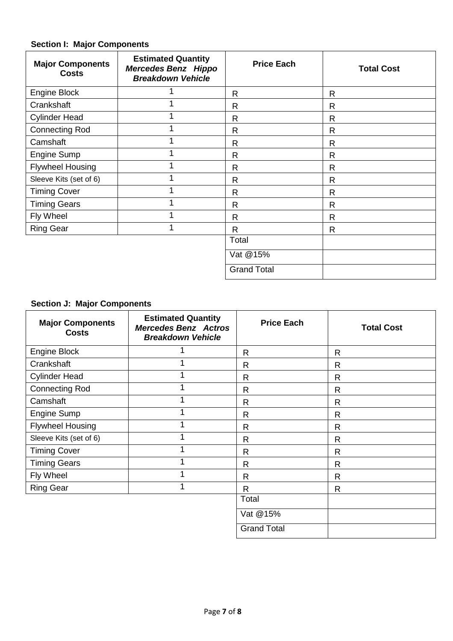### **Section I: Major Components**

| <b>Major Components</b><br><b>Costs</b> | <b>Estimated Quantity</b><br><b>Mercedes Benz Hippo</b><br><b>Breakdown Vehicle</b> | <b>Price Each</b>  | <b>Total Cost</b> |
|-----------------------------------------|-------------------------------------------------------------------------------------|--------------------|-------------------|
| Engine Block                            |                                                                                     | R                  | $\mathsf{R}$      |
| Crankshaft                              | 1                                                                                   | R                  | R                 |
| <b>Cylinder Head</b>                    | 1                                                                                   | $\mathsf{R}$       | $\mathsf{R}$      |
| <b>Connecting Rod</b>                   | 1                                                                                   | $\mathsf{R}$       | $\mathsf{R}$      |
| Camshaft                                | 1                                                                                   | $\mathsf{R}$       | $\mathsf{R}$      |
| Engine Sump                             | 1                                                                                   | $\mathsf{R}$       | $\mathsf{R}$      |
| <b>Flywheel Housing</b>                 | 1                                                                                   | $\mathsf{R}$       | $\mathsf{R}$      |
| Sleeve Kits (set of 6)                  | 1                                                                                   | $\mathsf{R}$       | $\mathsf{R}$      |
| <b>Timing Cover</b>                     | 1                                                                                   | $\mathsf{R}$       | $\mathsf{R}$      |
| <b>Timing Gears</b>                     | 1                                                                                   | R                  | $\mathsf{R}$      |
| Fly Wheel                               | 1                                                                                   | $\mathsf{R}$       | $\mathsf{R}$      |
| <b>Ring Gear</b>                        | 1                                                                                   | R                  | $\mathsf{R}$      |
|                                         |                                                                                     | Total              |                   |
|                                         |                                                                                     | Vat @15%           |                   |
|                                         |                                                                                     | <b>Grand Total</b> |                   |

#### **Section J: Major Components**

| <b>Major Components</b><br><b>Costs</b> | <b>Estimated Quantity</b><br><b>Mercedes Benz Actros</b><br><b>Breakdown Vehicle</b> | <b>Price Each</b>  | <b>Total Cost</b> |
|-----------------------------------------|--------------------------------------------------------------------------------------|--------------------|-------------------|
| <b>Engine Block</b>                     |                                                                                      | R                  | $\mathsf{R}$      |
| Crankshaft                              | 1                                                                                    | $\mathsf{R}$       | $\mathsf{R}$      |
| <b>Cylinder Head</b>                    |                                                                                      | R                  | R                 |
| <b>Connecting Rod</b>                   | 1                                                                                    | $\mathsf{R}$       | $\mathsf{R}$      |
| Camshaft                                | 1                                                                                    | $\mathsf{R}$       | $\mathsf{R}$      |
| Engine Sump                             |                                                                                      | R                  | $\mathsf{R}$      |
| <b>Flywheel Housing</b>                 |                                                                                      | $\mathsf{R}$       | $\mathsf{R}$      |
| Sleeve Kits (set of 6)                  | 4                                                                                    | R                  | R                 |
| <b>Timing Cover</b>                     | ◢                                                                                    | R                  | R                 |
| <b>Timing Gears</b>                     |                                                                                      | $\mathsf{R}$       | $\mathsf{R}$      |
| Fly Wheel                               | 1                                                                                    | $\mathsf{R}$       | $\mathsf{R}$      |
| <b>Ring Gear</b>                        | 1                                                                                    | $\mathsf{R}$       | $\mathsf{R}$      |
|                                         |                                                                                      | Total              |                   |
|                                         |                                                                                      | Vat @15%           |                   |
|                                         |                                                                                      | <b>Grand Total</b> |                   |